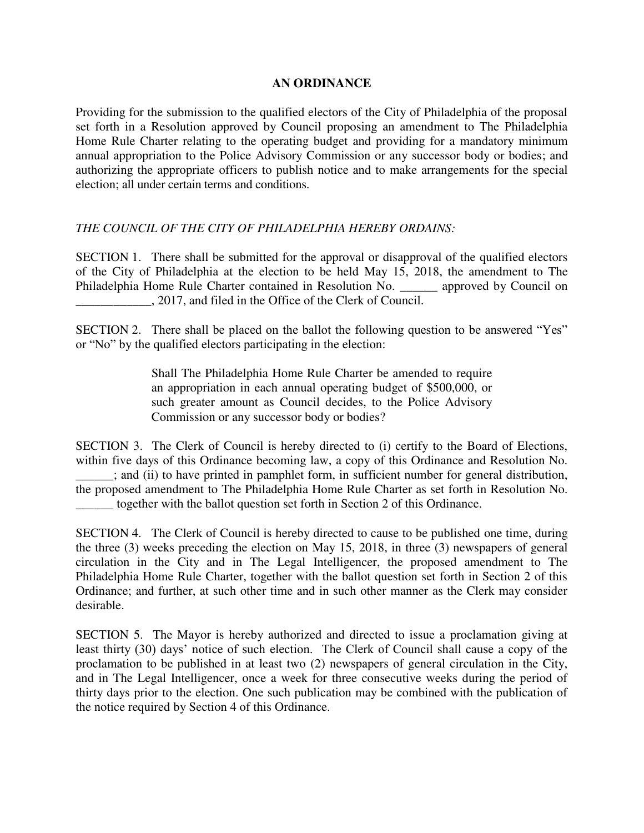## **AN ORDINANCE**

Providing for the submission to the qualified electors of the City of Philadelphia of the proposal set forth in a Resolution approved by Council proposing an amendment to The Philadelphia Home Rule Charter relating to the operating budget and providing for a mandatory minimum annual appropriation to the Police Advisory Commission or any successor body or bodies; and authorizing the appropriate officers to publish notice and to make arrangements for the special election; all under certain terms and conditions.

## *THE COUNCIL OF THE CITY OF PHILADELPHIA HEREBY ORDAINS:*

SECTION 1. There shall be submitted for the approval or disapproval of the qualified electors of the City of Philadelphia at the election to be held May 15, 2018, the amendment to The Philadelphia Home Rule Charter contained in Resolution No. \_\_\_\_\_\_\_ approved by Council on \_\_\_\_\_\_\_\_\_\_\_\_, 2017, and filed in the Office of the Clerk of Council.

SECTION 2. There shall be placed on the ballot the following question to be answered "Yes" or "No" by the qualified electors participating in the election:

> Shall The Philadelphia Home Rule Charter be amended to require an appropriation in each annual operating budget of \$500,000, or such greater amount as Council decides, to the Police Advisory Commission or any successor body or bodies?

SECTION 3. The Clerk of Council is hereby directed to (i) certify to the Board of Elections, within five days of this Ordinance becoming law, a copy of this Ordinance and Resolution No. \_\_\_\_\_\_; and (ii) to have printed in pamphlet form, in sufficient number for general distribution, the proposed amendment to The Philadelphia Home Rule Charter as set forth in Resolution No. \_\_\_\_\_\_ together with the ballot question set forth in Section 2 of this Ordinance.

SECTION 4. The Clerk of Council is hereby directed to cause to be published one time, during the three (3) weeks preceding the election on May 15, 2018, in three (3) newspapers of general circulation in the City and in The Legal Intelligencer, the proposed amendment to The Philadelphia Home Rule Charter, together with the ballot question set forth in Section 2 of this Ordinance; and further, at such other time and in such other manner as the Clerk may consider desirable.

SECTION 5. The Mayor is hereby authorized and directed to issue a proclamation giving at least thirty (30) days' notice of such election. The Clerk of Council shall cause a copy of the proclamation to be published in at least two (2) newspapers of general circulation in the City, and in The Legal Intelligencer, once a week for three consecutive weeks during the period of thirty days prior to the election. One such publication may be combined with the publication of the notice required by Section 4 of this Ordinance.